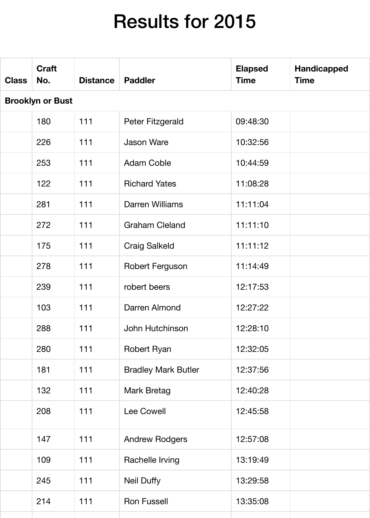# Results for 2015

| <b>Class</b>            | <b>Craft</b><br>No. | <b>Distance</b> | <b>Paddler</b>             | <b>Elapsed</b><br><b>Time</b> | <b>Handicapped</b><br><b>Time</b> |  |  |  |
|-------------------------|---------------------|-----------------|----------------------------|-------------------------------|-----------------------------------|--|--|--|
| <b>Brooklyn or Bust</b> |                     |                 |                            |                               |                                   |  |  |  |
|                         | 180                 | 111             | Peter Fitzgerald           | 09:48:30                      |                                   |  |  |  |
|                         | 226                 | 111             | <b>Jason Ware</b>          | 10:32:56                      |                                   |  |  |  |
|                         | 253                 | 111             | <b>Adam Coble</b>          | 10:44:59                      |                                   |  |  |  |
|                         | 122                 | 111             | <b>Richard Yates</b>       | 11:08:28                      |                                   |  |  |  |
|                         | 281                 | 111             | <b>Darren Williams</b>     | 11:11:04                      |                                   |  |  |  |
|                         | 272                 | 111             | <b>Graham Cleland</b>      | 11:11:10                      |                                   |  |  |  |
|                         | 175                 | 111             | <b>Craig Salkeld</b>       | 11:11:12                      |                                   |  |  |  |
|                         | 278                 | 111             | <b>Robert Ferguson</b>     | 11:14:49                      |                                   |  |  |  |
|                         | 239                 | 111             | robert beers               | 12:17:53                      |                                   |  |  |  |
|                         | 103                 | 111             | Darren Almond              | 12:27:22                      |                                   |  |  |  |
|                         | 288                 | 111             | John Hutchinson            | 12:28:10                      |                                   |  |  |  |
|                         | 280                 | 111             | Robert Ryan                | 12:32:05                      |                                   |  |  |  |
|                         | 181                 | 111             | <b>Bradley Mark Butler</b> | 12:37:56                      |                                   |  |  |  |
|                         | 132                 | 111             | <b>Mark Bretag</b>         | 12:40:28                      |                                   |  |  |  |
|                         | 208                 | 111             | <b>Lee Cowell</b>          | 12:45:58                      |                                   |  |  |  |
|                         | 147                 | 111             | <b>Andrew Rodgers</b>      | 12:57:08                      |                                   |  |  |  |
|                         | 109                 | 111             | Rachelle Irving            | 13:19:49                      |                                   |  |  |  |
|                         | 245                 | 111             | <b>Neil Duffy</b>          | 13:29:58                      |                                   |  |  |  |
|                         | 214                 | 111             | <b>Ron Fussell</b>         | 13:35:08                      |                                   |  |  |  |
|                         |                     |                 |                            |                               |                                   |  |  |  |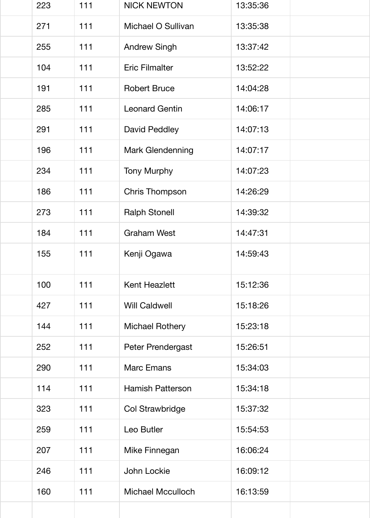| 223 | 111 | <b>NICK NEWTON</b>       | 13:35:36 |  |
|-----|-----|--------------------------|----------|--|
| 271 | 111 | Michael O Sullivan       | 13:35:38 |  |
| 255 | 111 | <b>Andrew Singh</b>      | 13:37:42 |  |
| 104 | 111 | <b>Eric Filmalter</b>    | 13:52:22 |  |
| 191 | 111 | <b>Robert Bruce</b>      | 14:04:28 |  |
| 285 | 111 | <b>Leonard Gentin</b>    | 14:06:17 |  |
| 291 | 111 | <b>David Peddley</b>     | 14:07:13 |  |
| 196 | 111 | Mark Glendenning         | 14:07:17 |  |
| 234 | 111 | <b>Tony Murphy</b>       | 14:07:23 |  |
| 186 | 111 | <b>Chris Thompson</b>    | 14:26:29 |  |
| 273 | 111 | <b>Ralph Stonell</b>     | 14:39:32 |  |
| 184 | 111 | <b>Graham West</b>       | 14:47:31 |  |
| 155 | 111 | Kenji Ogawa              | 14:59:43 |  |
| 100 | 111 | <b>Kent Heazlett</b>     | 15:12:36 |  |
| 427 | 111 | <b>Will Caldwell</b>     | 15:18:26 |  |
| 144 | 111 | <b>Michael Rothery</b>   | 15:23:18 |  |
| 252 | 111 | <b>Peter Prendergast</b> | 15:26:51 |  |
| 290 | 111 | <b>Marc Emans</b>        | 15:34:03 |  |
| 114 | 111 | <b>Hamish Patterson</b>  | 15:34:18 |  |
| 323 | 111 | <b>Col Strawbridge</b>   | 15:37:32 |  |
| 259 | 111 | Leo Butler               | 15:54:53 |  |
| 207 | 111 | Mike Finnegan            | 16:06:24 |  |
| 246 | 111 | John Lockie              | 16:09:12 |  |
| 160 | 111 | <b>Michael Mcculloch</b> | 16:13:59 |  |
|     |     |                          |          |  |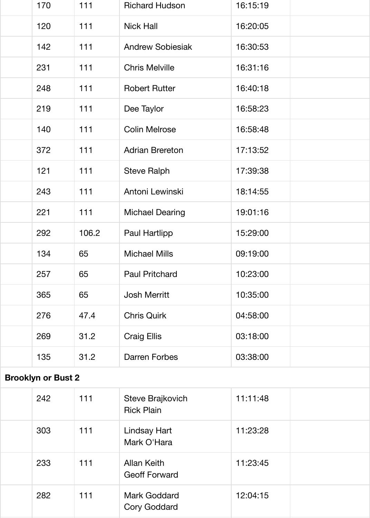| 170                       | 111   | <b>Richard Hudson</b>   | 16:15:19 |  |
|---------------------------|-------|-------------------------|----------|--|
| 120                       | 111   | <b>Nick Hall</b>        | 16:20:05 |  |
| 142                       | 111   | <b>Andrew Sobiesiak</b> | 16:30:53 |  |
| 231                       | 111   | <b>Chris Melville</b>   | 16:31:16 |  |
| 248                       | 111   | <b>Robert Rutter</b>    | 16:40:18 |  |
| 219                       | 111   | Dee Taylor              | 16:58:23 |  |
| 140                       | 111   | <b>Colin Melrose</b>    | 16:58:48 |  |
| 372                       | 111   | <b>Adrian Brereton</b>  | 17:13:52 |  |
| 121                       | 111   | <b>Steve Ralph</b>      | 17:39:38 |  |
| 243                       | 111   | Antoni Lewinski         | 18:14:55 |  |
| 221                       | 111   | <b>Michael Dearing</b>  | 19:01:16 |  |
| 292                       | 106.2 | Paul Hartlipp           | 15:29:00 |  |
| 134                       | 65    | <b>Michael Mills</b>    | 09:19:00 |  |
| 257                       | 65    | <b>Paul Pritchard</b>   | 10:23:00 |  |
| 365                       | 65    | <b>Josh Merritt</b>     | 10:35:00 |  |
| 276                       | 47.4  | <b>Chris Quirk</b>      | 04:58:00 |  |
| 269                       | 31.2  | <b>Craig Ellis</b>      | 03:18:00 |  |
| 135                       | 31.2  | <b>Darren Forbes</b>    | 03:38:00 |  |
| <b>Brooklyn or Bust 2</b> |       |                         |          |  |
|                           |       |                         |          |  |

| 242 | 111 | Steve Brajkovich<br><b>Rick Plain</b>      | 11:11:48 |  |
|-----|-----|--------------------------------------------|----------|--|
| 303 | 111 | <b>Lindsay Hart</b><br>Mark O'Hara         | 11:23:28 |  |
| 233 | 111 | <b>Allan Keith</b><br><b>Geoff Forward</b> | 11:23:45 |  |
| 282 | 111 | <b>Mark Goddard</b><br><b>Cory Goddard</b> | 12:04:15 |  |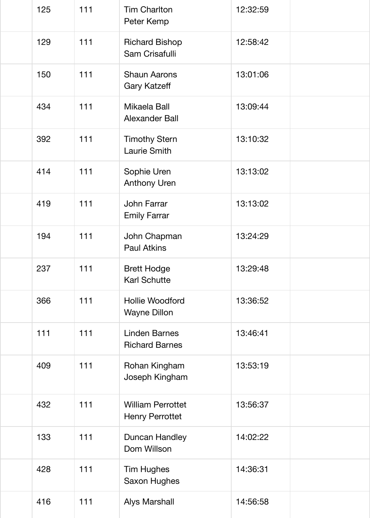| 125 | 111 | <b>Tim Charlton</b><br>Peter Kemp                  | 12:32:59 |  |
|-----|-----|----------------------------------------------------|----------|--|
| 129 | 111 | <b>Richard Bishop</b><br>Sam Crisafulli            | 12:58:42 |  |
| 150 | 111 | <b>Shaun Aarons</b><br><b>Gary Katzeff</b>         | 13:01:06 |  |
| 434 | 111 | Mikaela Ball<br><b>Alexander Ball</b>              | 13:09:44 |  |
| 392 | 111 | <b>Timothy Stern</b><br><b>Laurie Smith</b>        | 13:10:32 |  |
| 414 | 111 | Sophie Uren<br><b>Anthony Uren</b>                 | 13:13:02 |  |
| 419 | 111 | <b>John Farrar</b><br><b>Emily Farrar</b>          | 13:13:02 |  |
| 194 | 111 | John Chapman<br><b>Paul Atkins</b>                 | 13:24:29 |  |
| 237 | 111 | <b>Brett Hodge</b><br><b>Karl Schutte</b>          | 13:29:48 |  |
| 366 | 111 | <b>Hollie Woodford</b><br><b>Wayne Dillon</b>      | 13:36:52 |  |
| 111 | 111 | <b>Linden Barnes</b><br><b>Richard Barnes</b>      | 13:46:41 |  |
| 409 | 111 | Rohan Kingham<br>Joseph Kingham                    | 13:53:19 |  |
| 432 | 111 | <b>William Perrottet</b><br><b>Henry Perrottet</b> | 13:56:37 |  |
| 133 | 111 | Duncan Handley<br>Dom Willson                      | 14:02:22 |  |
| 428 | 111 | <b>Tim Hughes</b><br><b>Saxon Hughes</b>           | 14:36:31 |  |
| 416 | 111 | <b>Alys Marshall</b>                               | 14:56:58 |  |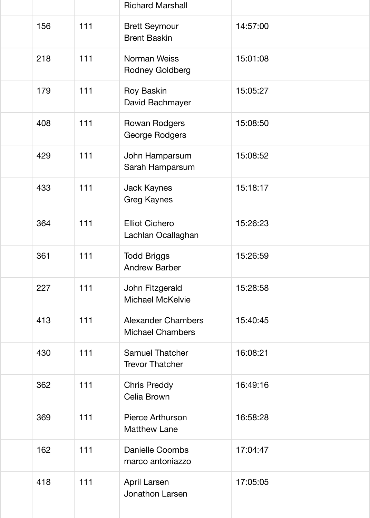|     |     | <b>Richard Marshall</b>                              |          |  |
|-----|-----|------------------------------------------------------|----------|--|
| 156 | 111 | <b>Brett Seymour</b><br><b>Brent Baskin</b>          | 14:57:00 |  |
| 218 | 111 | <b>Norman Weiss</b><br><b>Rodney Goldberg</b>        | 15:01:08 |  |
| 179 | 111 | <b>Roy Baskin</b><br>David Bachmayer                 | 15:05:27 |  |
| 408 | 111 | <b>Rowan Rodgers</b><br><b>George Rodgers</b>        | 15:08:50 |  |
| 429 | 111 | John Hamparsum<br>Sarah Hamparsum                    | 15:08:52 |  |
| 433 | 111 | <b>Jack Kaynes</b><br><b>Greg Kaynes</b>             | 15:18:17 |  |
| 364 | 111 | <b>Elliot Cichero</b><br>Lachlan Ocallaghan          | 15:26:23 |  |
| 361 | 111 | <b>Todd Briggs</b><br><b>Andrew Barber</b>           | 15:26:59 |  |
| 227 | 111 | John Fitzgerald<br><b>Michael McKelvie</b>           | 15:28:58 |  |
| 413 | 111 | <b>Alexander Chambers</b><br><b>Michael Chambers</b> | 15:40:45 |  |
| 430 | 111 | <b>Samuel Thatcher</b><br><b>Trevor Thatcher</b>     | 16:08:21 |  |
| 362 | 111 | <b>Chris Preddy</b><br><b>Celia Brown</b>            | 16:49:16 |  |
| 369 | 111 | <b>Pierce Arthurson</b><br><b>Matthew Lane</b>       | 16:58:28 |  |
| 162 | 111 | <b>Danielle Coombs</b><br>marco antoniazzo           | 17:04:47 |  |
| 418 | 111 | <b>April Larsen</b><br>Jonathon Larsen               | 17:05:05 |  |
|     |     |                                                      |          |  |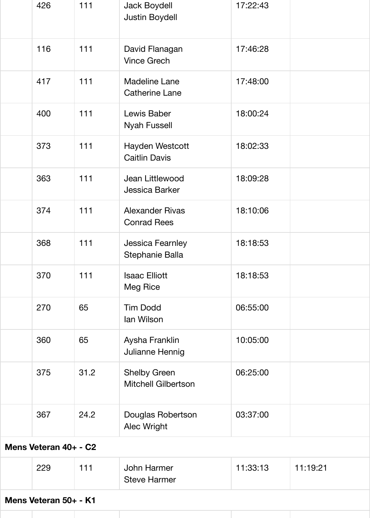| 426 | 111  | <b>Jack Boydell</b><br><b>Justin Boydell</b>      | 17:22:43 |
|-----|------|---------------------------------------------------|----------|
| 116 | 111  | David Flanagan<br><b>Vince Grech</b>              | 17:46:28 |
| 417 | 111  | <b>Madeline Lane</b><br><b>Catherine Lane</b>     | 17:48:00 |
| 400 | 111  | Lewis Baber<br><b>Nyah Fussell</b>                | 18:00:24 |
| 373 | 111  | Hayden Westcott<br><b>Caitlin Davis</b>           | 18:02:33 |
| 363 | 111  | Jean Littlewood<br>Jessica Barker                 | 18:09:28 |
| 374 | 111  | <b>Alexander Rivas</b><br><b>Conrad Rees</b>      | 18:10:06 |
| 368 | 111  | <b>Jessica Fearnley</b><br>Stephanie Balla        | 18:18:53 |
| 370 | 111  | <b>Isaac Elliott</b><br><b>Meg Rice</b>           | 18:18:53 |
| 270 | 65   | <b>Tim Dodd</b><br>lan Wilson                     | 06:55:00 |
| 360 | 65   | Aysha Franklin<br>Julianne Hennig                 | 10:05:00 |
| 375 | 31.2 | <b>Shelby Green</b><br><b>Mitchell Gilbertson</b> | 06:25:00 |
| 367 | 24.2 | Douglas Robertson<br><b>Alec Wright</b>           | 03:37:00 |

**Mens Veteran 40+ - C2**

|  | 229 | 111 | John Harmer<br><b>Steve Harmer</b> | 11:33:13 | 11.19.21 |
|--|-----|-----|------------------------------------|----------|----------|
|--|-----|-----|------------------------------------|----------|----------|

**Mens Veteran 50+ - K1**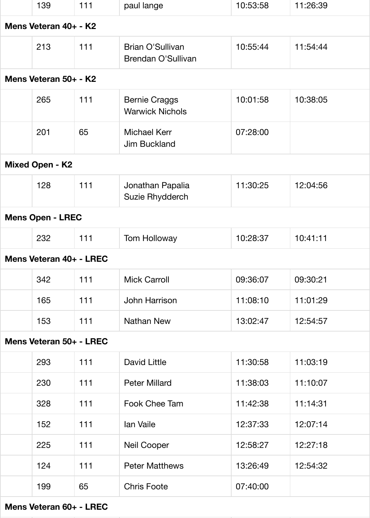|                       | 139                     | 111 | paul lange                                     | 10:53:58 | 11:26:39 |  |  |
|-----------------------|-------------------------|-----|------------------------------------------------|----------|----------|--|--|
| Mens Veteran 40+ - K2 |                         |     |                                                |          |          |  |  |
|                       | 213                     | 111 | Brian O'Sullivan<br>Brendan O'Sullivan         | 10:55:44 | 11:54:44 |  |  |
|                       | Mens Veteran 50+ - K2   |     |                                                |          |          |  |  |
|                       | 265                     | 111 | <b>Bernie Craggs</b><br><b>Warwick Nichols</b> | 10:01:58 | 10:38:05 |  |  |
|                       | 201                     | 65  | <b>Michael Kerr</b><br><b>Jim Buckland</b>     | 07:28:00 |          |  |  |
|                       | <b>Mixed Open - K2</b>  |     |                                                |          |          |  |  |
|                       | 128                     | 111 | Jonathan Papalia<br>Suzie Rhydderch            | 11:30:25 | 12:04:56 |  |  |
|                       | <b>Mens Open - LREC</b> |     |                                                |          |          |  |  |
|                       | 232                     | 111 | <b>Tom Holloway</b>                            | 10:28:37 | 10:41:11 |  |  |
|                       | Mens Veteran 40+ - LREC |     |                                                |          |          |  |  |
|                       | 342                     | 111 | <b>Mick Carroll</b>                            | 09:36:07 | 09:30:21 |  |  |
|                       | 165                     | 111 | <b>John Harrison</b>                           | 11:08:10 | 11:01:29 |  |  |
|                       | 153                     | 111 | <b>Nathan New</b>                              | 13:02:47 | 12:54:57 |  |  |
|                       | Mens Veteran 50+ - LREC |     |                                                |          |          |  |  |
|                       | 293                     | 111 | <b>David Little</b>                            | 11:30:58 | 11:03:19 |  |  |
|                       | 230                     | 111 | <b>Peter Millard</b>                           | 11:38:03 | 11:10:07 |  |  |
|                       | 328                     | 111 | Fook Chee Tam                                  | 11:42:38 | 11:14:31 |  |  |
|                       | 152                     | 111 | lan Vaile                                      | 12:37:33 | 12:07:14 |  |  |
|                       | 225                     | 111 | <b>Neil Cooper</b>                             | 12:58:27 | 12:27:18 |  |  |
|                       | 124                     | 111 | <b>Peter Matthews</b>                          | 13:26:49 | 12:54:32 |  |  |
|                       | 199                     | 65  | <b>Chris Foote</b>                             | 07:40:00 |          |  |  |
|                       |                         |     |                                                |          |          |  |  |

**Mens Veteran 60+ - LREC**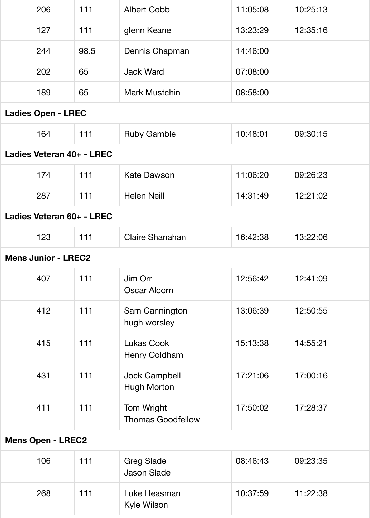| 206                        | 111  | <b>Albert Cobb</b>                         | 11:05:08 | 10:25:13 |
|----------------------------|------|--------------------------------------------|----------|----------|
| 127                        | 111  | glenn Keane                                | 13:23:29 | 12:35:16 |
| 244                        | 98.5 | Dennis Chapman                             | 14:46:00 |          |
| 202                        | 65   | <b>Jack Ward</b>                           | 07:08:00 |          |
| 189                        | 65   | <b>Mark Mustchin</b>                       | 08:58:00 |          |
| <b>Ladies Open - LREC</b>  |      |                                            |          |          |
| 164                        | 111  | <b>Ruby Gamble</b>                         | 10:48:01 | 09:30:15 |
| Ladies Veteran 40+ - LREC  |      |                                            |          |          |
| 174                        | 111  | <b>Kate Dawson</b>                         | 11:06:20 | 09:26:23 |
| 287                        | 111  | <b>Helen Neill</b>                         | 14:31:49 | 12:21:02 |
| Ladies Veteran 60+ - LREC  |      |                                            |          |          |
| 123                        | 111  | <b>Claire Shanahan</b>                     | 16:42:38 | 13:22:06 |
| <b>Mens Junior - LREC2</b> |      |                                            |          |          |
| 407                        | 111  | Jim Orr<br><b>Oscar Alcorn</b>             | 12:56:42 | 12:41:09 |
| 412                        | 111  | Sam Cannington<br>hugh worsley             | 13:06:39 | 12:50:55 |
| 415                        | 111  | <b>Lukas Cook</b><br>Henry Coldham         | 15:13:38 | 14:55:21 |
| 431                        | 111  | <b>Jock Campbell</b><br><b>Hugh Morton</b> | 17:21:06 | 17:00:16 |
| 411                        | 111  | Tom Wright<br><b>Thomas Goodfellow</b>     | 17:50:02 | 17:28:37 |
| <b>Mens Open - LREC2</b>   |      |                                            |          |          |
| $\overline{100}$           |      |                                            | 00. IO.  | 00.00.0E |

| 106 | 111 | <b>Greg Slade</b><br><b>Jason Slade</b> | 08:46:43 | 09:23:35 |
|-----|-----|-----------------------------------------|----------|----------|
| 268 | 111 | Luke Heasman<br>Kyle Wilson             | 10:37:59 | 11:22:38 |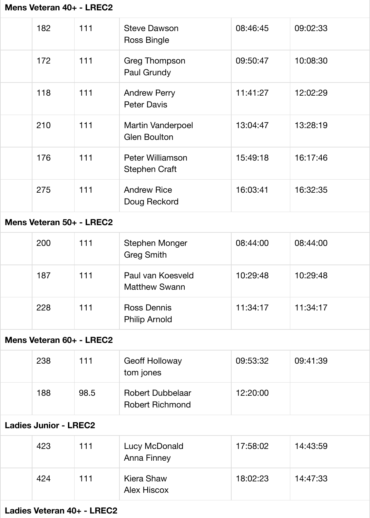|                           | 182 | 111 | <b>Steve Dawson</b><br><b>Ross Bingle</b>       | 08:46:45 | 09:02:33 |  |
|---------------------------|-----|-----|-------------------------------------------------|----------|----------|--|
|                           | 172 | 111 | <b>Greg Thompson</b><br>Paul Grundy             | 09:50:47 | 10:08:30 |  |
|                           | 118 | 111 | <b>Andrew Perry</b><br><b>Peter Davis</b>       | 11:41:27 | 12:02:29 |  |
|                           | 210 | 111 | <b>Martin Vanderpoel</b><br><b>Glen Boulton</b> | 13:04:47 | 13:28:19 |  |
|                           | 176 | 111 | <b>Peter Williamson</b><br><b>Stephen Craft</b> | 15:49:18 | 16:17:46 |  |
|                           | 275 | 111 | <b>Andrew Rice</b><br>Doug Reckord              | 16:03:41 | 16:32:35 |  |
| Mans Vateran 50+ - I RFC2 |     |     |                                                 |          |          |  |

#### **Mens Veteran 50+ - LREC2**

| 200 | 111 | <b>Stephen Monger</b><br><b>Greg Smith</b> | 08:44:00 | 08:44:00 |
|-----|-----|--------------------------------------------|----------|----------|
| 187 | 111 | Paul van Koesveld<br><b>Matthew Swann</b>  | 10:29:48 | 10:29:48 |
| 228 | 111 | <b>Ross Dennis</b><br><b>Philip Arnold</b> | 11:34:17 | 11:34:17 |

#### **Mens Veteran 60+ - LREC2**

| 238 | 111  | <b>Geoff Holloway</b><br>tom jones                | 09:53:32 | 09:41:39 |
|-----|------|---------------------------------------------------|----------|----------|
| 188 | 98.5 | <b>Robert Dubbelaar</b><br><b>Robert Richmond</b> | 12:20:00 |          |

#### **Ladies Junior - LREC2**

| 423 | 111 | Lucy McDonald<br><b>Anna Finney</b> | 17:58:02 | 14:43:59 |
|-----|-----|-------------------------------------|----------|----------|
| 424 | 111 | Kiera Shaw<br><b>Alex Hiscox</b>    | 18:02:23 | 14:47:33 |

#### **Ladies Veteran 40+ - LREC2**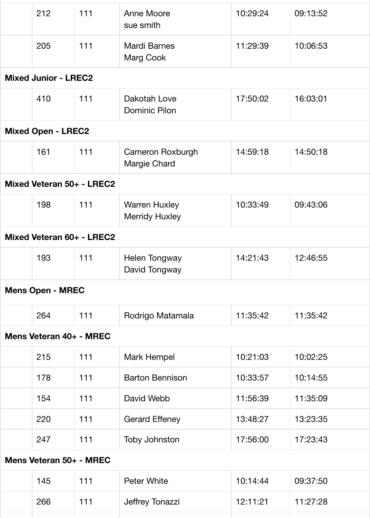|                           | 212                         | 111 | <b>Anne Moore</b><br>sue smith                | 10:29:24 | 09:13:52 |  |
|---------------------------|-----------------------------|-----|-----------------------------------------------|----------|----------|--|
|                           | 205                         | 111 | <b>Mardi Barnes</b><br><b>Marg Cook</b>       | 11:29:39 | 10:06:53 |  |
|                           | <b>Mixed Junior - LREC2</b> |     |                                               |          |          |  |
|                           | 410                         | 111 | Dakotah Love<br><b>Dominic Pilon</b>          | 17:50:02 | 16:03:01 |  |
|                           | <b>Mixed Open - LREC2</b>   |     |                                               |          |          |  |
|                           | 161                         | 111 | <b>Cameron Roxburgh</b><br>Margie Chard       | 14:59:18 | 14:50:18 |  |
|                           | Mixed Veteran 50+ - LREC2   |     |                                               |          |          |  |
|                           | 198                         | 111 | <b>Warren Huxley</b><br><b>Merridy Huxley</b> | 10:33:49 | 09:43:06 |  |
| Mixed Veteran 60+ - LREC2 |                             |     |                                               |          |          |  |
|                           | 193                         | 111 | <b>Helen Tongway</b><br>David Tongway         | 14:21:43 | 12:46:55 |  |
|                           | <b>Mens Open - MREC</b>     |     |                                               |          |          |  |
|                           | 264                         | 111 | Rodrigo Matamala                              | 11:35:42 | 11:35:42 |  |
|                           | Mens Veteran 40+ - MREC     |     |                                               |          |          |  |
|                           | 215                         | 111 | Mark Hempel                                   | 10:21:03 | 10:02:25 |  |
|                           | 178                         | 111 | <b>Barton Bennison</b>                        | 10:33:57 | 10:14:55 |  |
|                           | 154                         | 111 | David Webb                                    | 11:56:39 | 11:35:09 |  |
|                           | 220                         | 111 | <b>Gerard Effeney</b>                         | 13:48:27 | 13:23:35 |  |
|                           | 247                         | 111 | <b>Toby Johnston</b>                          | 17:56:00 | 17:23:43 |  |
|                           | Mens Veteran 50+ - MREC     |     |                                               |          |          |  |
|                           | 145                         | 111 | <b>Peter White</b>                            | 10:14:44 | 09:37:50 |  |
|                           | 266                         | 111 | Jeffrey Tonazzi                               | 12:11:21 | 11:27:28 |  |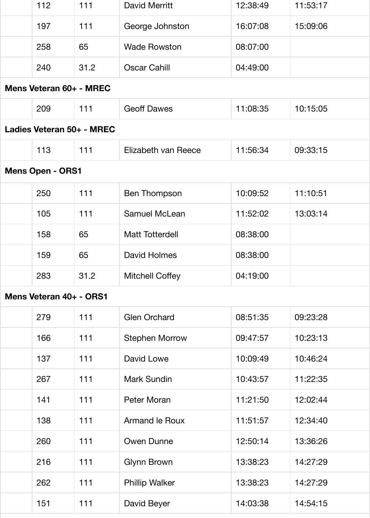| 112                       | 111  | David Merritt          | 12:38:49 | 11:53:17 |
|---------------------------|------|------------------------|----------|----------|
| 197                       | 111  | George Johnston        | 16:07:08 | 15:09:06 |
| 258                       | 65   | <b>Wade Rowston</b>    | 08:07:00 |          |
| 240                       | 31.2 | <b>Oscar Cahill</b>    | 04:49:00 |          |
| Mens Veteran 60+ - MREC   |      |                        |          |          |
| 209                       | 111  | <b>Geoff Dawes</b>     | 11:08:35 | 10:15:05 |
| Ladies Veteran 50+ - MREC |      |                        |          |          |
| 113                       | 111  | Elizabeth van Reece    | 11:56:34 | 09:33:15 |
| <b>Mens Open - ORS1</b>   |      |                        |          |          |
| 250                       | 111  | <b>Ben Thompson</b>    | 10:09:52 | 11:10:51 |
| 105                       | 111  | <b>Samuel McLean</b>   | 11:52:02 | 13:03:14 |
| 158                       | 65   | <b>Matt Totterdell</b> | 08:38:00 |          |
| 159                       | 65   | David Holmes           | 08:38:00 |          |
| 283                       | 31.2 | <b>Mitchell Coffey</b> | 04:19:00 |          |
| Mens Veteran 40+ - ORS1   |      |                        |          |          |
| 279                       | 111  | <b>Glen Orchard</b>    | 08:51:35 | 09:23:28 |
| 166                       | 111  | <b>Stephen Morrow</b>  | 09:47:57 | 10:23:13 |
| 137                       | 111  | David Lowe             | 10:09:49 | 10:46:24 |
| 267                       | 111  | <b>Mark Sundin</b>     | 10:43:57 | 11:22:35 |
| 141                       | 111  | Peter Moran            | 11:21:50 | 12:02:44 |
| 138                       | 111  | <b>Armand le Roux</b>  | 11:51:57 | 12:34:40 |
| 260                       | 111  | <b>Owen Dunne</b>      | 12:50:14 | 13:36:26 |
| 216                       | 111  | <b>Glynn Brown</b>     | 13:38:23 | 14:27:29 |
| 262                       | 111  | <b>Phillip Walker</b>  | 13:38:23 | 14:27:29 |
| 151                       | 111  | David Beyer            | 14:03:38 | 14:54:15 |
|                           |      |                        |          |          |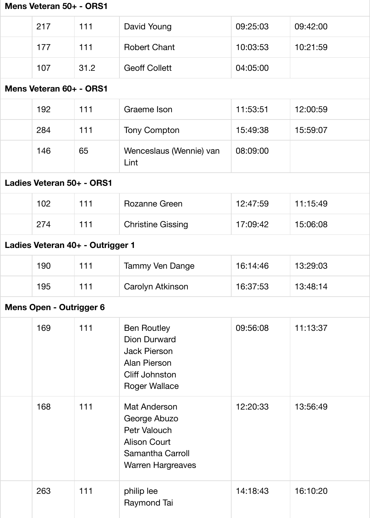| Mens Veteran 50+ - ORS1 |                           |                                  |                                                                                                                            |          |          |  |  |
|-------------------------|---------------------------|----------------------------------|----------------------------------------------------------------------------------------------------------------------------|----------|----------|--|--|
|                         | 217                       | 111                              | David Young                                                                                                                | 09:25:03 | 09:42:00 |  |  |
|                         | 177                       | 111                              | <b>Robert Chant</b>                                                                                                        | 10:03:53 | 10:21:59 |  |  |
|                         | 107                       | 31.2                             | <b>Geoff Collett</b>                                                                                                       | 04:05:00 |          |  |  |
|                         | Mens Veteran 60+ - ORS1   |                                  |                                                                                                                            |          |          |  |  |
|                         | 192                       | 111                              | Graeme Ison                                                                                                                | 11:53:51 | 12:00:59 |  |  |
|                         | 284                       | 111                              | <b>Tony Compton</b>                                                                                                        | 15:49:38 | 15:59:07 |  |  |
|                         | 146                       | 65                               | Wenceslaus (Wennie) van<br>Lint                                                                                            | 08:09:00 |          |  |  |
|                         | Ladies Veteran 50+ - ORS1 |                                  |                                                                                                                            |          |          |  |  |
|                         | 102                       | 111                              | <b>Rozanne Green</b>                                                                                                       | 12:47:59 | 11:15:49 |  |  |
|                         | 274                       | 111                              | <b>Christine Gissing</b>                                                                                                   | 17:09:42 | 15:06:08 |  |  |
|                         |                           | Ladies Veteran 40+ - Outrigger 1 |                                                                                                                            |          |          |  |  |
|                         | 190                       | 111                              | <b>Tammy Ven Dange</b>                                                                                                     | 16:14:46 | 13:29:03 |  |  |
|                         | 195                       | 111                              | Carolyn Atkinson                                                                                                           | 16:37:53 | 13:48:14 |  |  |
|                         | Mens Open - Outrigger 6   |                                  |                                                                                                                            |          |          |  |  |
|                         | 169                       | 111                              | <b>Ben Routley</b><br><b>Dion Durward</b><br><b>Jack Pierson</b><br>Alan Pierson<br>Cliff Johnston<br><b>Roger Wallace</b> | 09:56:08 | 11:13:37 |  |  |
|                         | 168                       | 111                              | Mat Anderson<br>George Abuzo<br>Petr Valouch<br><b>Alison Court</b><br><b>Samantha Carroll</b><br><b>Warren Hargreaves</b> | 12:20:33 | 13:56:49 |  |  |
|                         | 263                       | 111                              | philip lee<br>Raymond Tai                                                                                                  | 14:18:43 | 16:10:20 |  |  |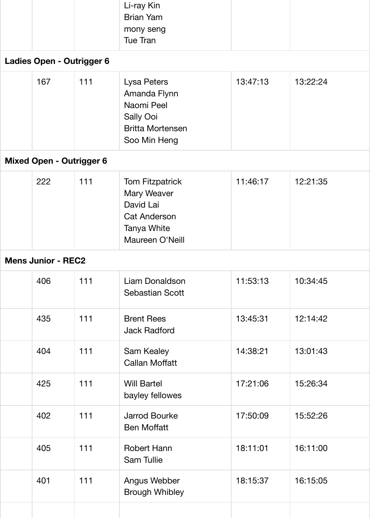|                           |     |     | Li-ray Kin<br><b>Brian Yam</b><br>mony seng<br><b>Tue Tran</b> |          |          |  |  |  |
|---------------------------|-----|-----|----------------------------------------------------------------|----------|----------|--|--|--|
| Ladies Open - Outrigger 6 |     |     |                                                                |          |          |  |  |  |
|                           | 167 | 111 | Lysa Peters<br>Amanda Flynn<br>Noomi Dool                      | 13:47:13 | 13:22:24 |  |  |  |

| Naomi Peel              |  |
|-------------------------|--|
| <b>Sally Ooi</b>        |  |
| <b>Britta Mortensen</b> |  |
| Soo Min Heng            |  |

## **Mixed Open - Outrigger 6**

| 222 | 111 | <b>Tom Fitzpatrick</b> | 11:46:17 | 12:21:35 |
|-----|-----|------------------------|----------|----------|
|     |     | <b>Mary Weaver</b>     |          |          |
|     |     | David Lai              |          |          |
|     |     | <b>Cat Anderson</b>    |          |          |
|     |     | Tanya White            |          |          |
|     |     | Maureen O'Neill        |          |          |
|     |     |                        |          |          |

### **Mens Junior - REC2**

| 406 | 111   | Liam Donaldson<br><b>Sebastian Scott</b>   | 11:53:13 | 10:34:45 |
|-----|-------|--------------------------------------------|----------|----------|
| 435 | 111   | <b>Brent Rees</b><br><b>Jack Radford</b>   | 13:45:31 | 12:14:42 |
| 404 | 111   | <b>Sam Kealey</b><br><b>Callan Moffatt</b> | 14:38:21 | 13:01:43 |
| 425 | 111   | <b>Will Bartel</b><br>bayley fellowes      | 17:21:06 | 15:26:34 |
| 402 | $111$ | <b>Jarrod Bourke</b><br><b>Ben Moffatt</b> | 17:50:09 | 15:52:26 |
| 405 | 111   | <b>Robert Hann</b><br><b>Sam Tullie</b>    | 18:11:01 | 16:11:00 |
| 401 | 111   | Angus Webber<br><b>Brough Whibley</b>      | 18:15:37 | 16:15:05 |
|     |       |                                            |          |          |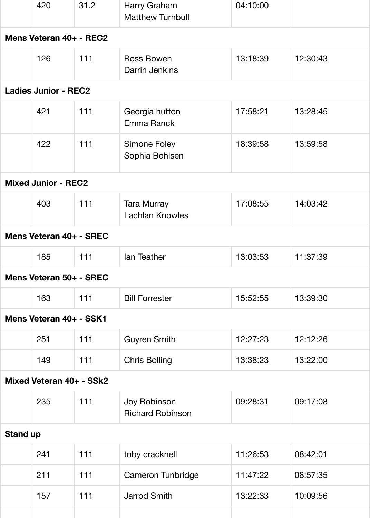|                         | 420                         | 31.2 | Harry Graham<br><b>Matthew Turnbull</b>      | 04:10:00 |          |  |  |  |
|-------------------------|-----------------------------|------|----------------------------------------------|----------|----------|--|--|--|
| Mens Veteran 40+ - REC2 |                             |      |                                              |          |          |  |  |  |
|                         | 126                         | 111  | <b>Ross Bowen</b><br>Darrin Jenkins          | 13:18:39 | 12:30:43 |  |  |  |
|                         | <b>Ladies Junior - REC2</b> |      |                                              |          |          |  |  |  |
|                         | 421                         | 111  | Georgia hutton<br>Emma Ranck                 | 17:58:21 | 13:28:45 |  |  |  |
|                         | 422                         | 111  | <b>Simone Foley</b><br>Sophia Bohlsen        | 18:39:58 | 13:59:58 |  |  |  |
|                         | <b>Mixed Junior - REC2</b>  |      |                                              |          |          |  |  |  |
|                         | 403                         | 111  | <b>Tara Murray</b><br><b>Lachlan Knowles</b> | 17:08:55 | 14:03:42 |  |  |  |
|                         | Mens Veteran 40+ - SREC     |      |                                              |          |          |  |  |  |
|                         | 185                         | 111  | lan Teather                                  | 13:03:53 | 11:37:39 |  |  |  |
|                         | Mens Veteran 50+ - SREC     |      |                                              |          |          |  |  |  |
|                         | 163                         | 111  | <b>Bill Forrester</b>                        | 15:52:55 | 13:39:30 |  |  |  |
|                         | Mens Veteran 40+ - SSK1     |      |                                              |          |          |  |  |  |
|                         | 251                         | 111  | <b>Guyren Smith</b>                          | 12:27:23 | 12:12:26 |  |  |  |
|                         | 149                         | 111  | <b>Chris Bolling</b>                         | 13:38:23 | 13:22:00 |  |  |  |
|                         | Mixed Veteran 40+ - SSk2    |      |                                              |          |          |  |  |  |
|                         | 235                         | 111  | Joy Robinson<br><b>Richard Robinson</b>      | 09:28:31 | 09:17:08 |  |  |  |
| <b>Stand up</b>         |                             |      |                                              |          |          |  |  |  |
|                         | 241                         | 111  | toby cracknell                               | 11:26:53 | 08:42:01 |  |  |  |
|                         | 211                         | 111  | Cameron Tunbridge                            | 11:47:22 | 08:57:35 |  |  |  |
|                         | 157                         | 111  | <b>Jarrod Smith</b>                          | 13:22:33 | 10:09:56 |  |  |  |
|                         |                             |      |                                              |          |          |  |  |  |